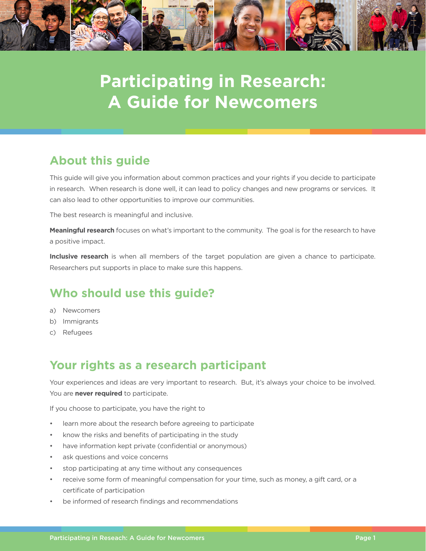

# **Participating in Research: A Guide for Newcomers**

# **About this guide**

This guide will give you information about common practices and your rights if you decide to participate in research. When research is done well, it can lead to policy changes and new programs or services. It can also lead to other opportunities to improve our communities.

The best research is meaningful and inclusive.

**Meaningful research** focuses on what's important to the community. The goal is for the research to have a positive impact.

**Inclusive research** is when all members of the target population are given a chance to participate. Researchers put supports in place to make sure this happens.

## **Who should use this guide?**

- a) Newcomers
- b) Immigrants
- c) Refugees

# **Your rights as a research participant**

Your experiences and ideas are very important to research. But, it's always your choice to be involved. You are **never required** to participate.

If you choose to participate, you have the right to

- learn more about the research before agreeing to participate
- know the risks and benefits of participating in the study
- have information kept private (confidential or anonymous)
- ask questions and voice concerns
- stop participating at any time without any consequences
- receive some form of meaningful compensation for your time, such as money, a gift card, or a certificate of participation
- be informed of research findings and recommendations